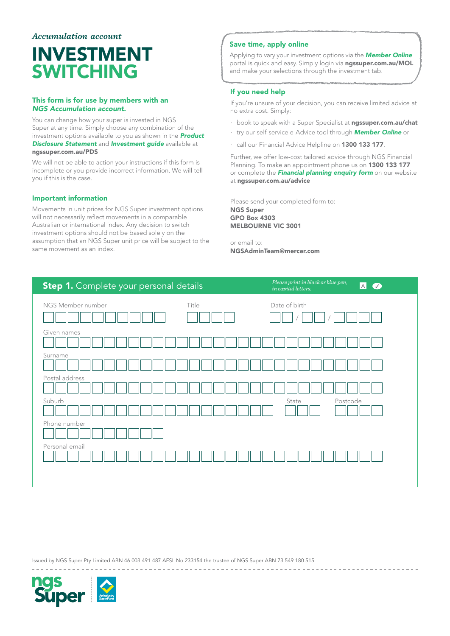# *Accumulation account*

# INVESTMENT SWITCHING

### This form is for use by members with an *NGS Accumulation account*.

You can change how your super is invested in NGS Super at any time. Simply choose any combination of the investment options available to you as shown in the *[Product](www.ngssuper.com.au/PDS)  [Disclosure Statement](www.ngssuper.com.au/PDS)* and *[Investment guide](https://www.ngssuper.com.au/src/uploads/2016/11/investment-guide.pdf)* available at [ngssuper.com.au/PDS](http://www.ngssuper.com.au/PDS)

We will not be able to action your instructions if this form is incomplete or you provide incorrect information. We will tell you if this is the case.

#### Important information

Movements in unit prices for NGS Super investment options will not necessarily reflect movements in a comparable Australian or international index. Any decision to switch investment options should not be based solely on the assumption that an NGS Super unit price will be subject to the same movement as an index.

# Save time, apply online

Applying to vary your investment options via the *[Member Online](www.ngssuper.com.au/MOL)* portal is quick and easy. Simply login via [ngssuper.com.au/MOL](www.ngssuper.com.au/MOL) and make your selections through the investment tab.

# If you need help

If you're unsure of your decision, you can receive limited advice at no extra cost. Simply:

- book to speak with a Super Specialist at [ngssuper.com.au/chat](https://www.ngssuper.com.au/chat)
- · try our self-service e-Advice tool through *[Member Online](https://www.ngssuper.com.au/mol)* or
- · call our Financial Advice Helpline on 1300 133 177.

Further, we offer low-cost tailored advice through NGS Financial Planning. To make an appointment phone us on 1300 133 177 or complete the *[Financial planning enquiry form](www.ngssuper.com.au/Forms/Ad-hoc/Financial-advice-enquiry-form/Financial-advice-enquiry-form)* on our website at [ngssuper.com.au/advice](http://www.ngssuper.com.au/advice)

Please send your completed form to: NGS Super GPO Box 4303 MELBOURNE VIC 3001

or email to: NGSAdminTeam@mercer.com

| Step 1. Complete your personal details | Please print in black or blue pen,<br>$\boxed{A}$<br>$\bullet$<br>$\it in\; capital\; letters.$ |
|----------------------------------------|-------------------------------------------------------------------------------------------------|
| Title<br>NGS Member number             | Date of birth                                                                                   |
| Given names                            |                                                                                                 |
| Surname                                |                                                                                                 |
| Postal address                         |                                                                                                 |
| Suburb                                 | State<br>Postcode                                                                               |
| Phone number                           |                                                                                                 |
| Personal email                         |                                                                                                 |
|                                        |                                                                                                 |

Issued by NGS Super Pty Limited ABN 46 003 491 487 AFSL No 233154 the trustee of NGS Super ABN 73 549 180 515

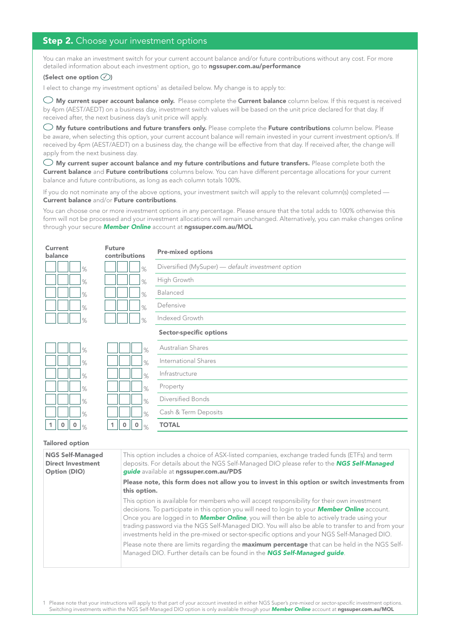# **Step 2.** Choose your investment options

You can make an investment switch for your current account balance and/or future contributions without any cost. For more detailed information about each investment option, go to [ngssuper.com.au/performance](http://www.ngssuper.com.au/performance)

# (Select one option  $\oslash$ )

I elect to change my investment options<sup>1</sup> as detailed below. My change is to apply to:

 $\bigcirc$  My current super account balance only. Please complete the Current balance column below. If this request is received by 4pm (AEST/AEDT) on a business day, investment switch values will be based on the unit price declared for that day. If received after, the next business day's unit price will apply.

 $\bigcirc$  My future contributions and future transfers only. Please complete the Future contributions column below. Please be aware, when selecting this option, your current account balance will remain invested in your current investment option/s. If received by 4pm (AEST/AEDT) on a business day, the change will be effective from that day. If received after, the change will apply from the next business day.

 $\bigcirc$  My current super account balance and my future contributions and future transfers. Please complete both the Current balance and Future contributions columns below. You can have different percentage allocations for your current balance and future contributions, as long as each column totals 100%.

If you do not nominate any of the above options, your investment switch will apply to the relevant column(s) completed — Current balance and/or Future contributions.

You can choose one or more investment options in any percentage. Please ensure that the total adds to 100% otherwise this form will not be processed and your investment allocations will remain unchanged. Alternatively, you can make changes online through your secure *[Member Online](http://www.ngssuper.com.au/MOL)* account at [ngssuper.com.au/MOL](http://www.ngssuper.com.au/MOL)

| Current<br>balance                   | <b>Future</b><br>contributions          | <b>Pre-mixed options</b>                                                                     |
|--------------------------------------|-----------------------------------------|----------------------------------------------------------------------------------------------|
| $\%$                                 | $\%$                                    | Diversified (MySuper) - default investment option                                            |
| $\%$                                 | $\%$                                    | High Growth                                                                                  |
| $\%$                                 | $\%$                                    | Balanced                                                                                     |
| $\%$                                 | $\%$                                    | Defensive                                                                                    |
| $\%$                                 | $\%$                                    | Indexed Growth                                                                               |
|                                      |                                         | <b>Sector-specific options</b>                                                               |
| $\%$                                 | $\%$                                    | Australian Shares                                                                            |
| $\%$                                 | $\%$                                    | International Shares                                                                         |
| $\%$                                 | $\%$                                    | Infrastructure                                                                               |
| $\%$                                 | $\%$                                    | Property                                                                                     |
| $\%$                                 | $\%$                                    | Diversified Bonds                                                                            |
| $\%$                                 | $\%$                                    | Cash & Term Deposits                                                                         |
| $\mathbf 0$<br>1<br>$\mathbf 0$<br>% | $\mathbf 0$<br>$\mathbf 0$<br>1<br>$\%$ | <b>TOTAL</b>                                                                                 |
| <b>Tailored option</b>               |                                         |                                                                                              |
| MCC Colf Monomon                     |                                         | This option includes a shoice of ACV listed companies, exchange traded funds (ETEs) and term |

#### NGS Self-Managed Direct Investment Option (DIO) This option includes a choice of ASX-listed companies, exchange traded funds (ETFs) and term deposits. For details about the NGS Self-Managed DIO please refer to the *[NGS Self-Managed](https://www.ngssuper.com.au/src/uploads/2016/12/ngs-self-managed-guide.pdf)  [guide](https://www.ngssuper.com.au/src/uploads/2016/12/ngs-self-managed-guide.pdf)* available at [ngssuper.com.au/PDS](www.ngssuper.com.au/PDS) Please note, this form does not allow you to invest in this option or switch investments from this option. This option is available for members who will accept responsibility for their own investment decisions. To participate in this option you will need to login to your *[Member Online](http://www.ngssuper.com.au/MOL)* account. Once you are logged in to *[Member Online](http://www.ngssuper.com.au/MOL)*, you will then be able to actively trade using your trading password via the NGS Self-Managed DIO. You will also be able to transfer to and from your investments held in the pre-mixed or sector-specific options and your NGS Self-Managed DIO. Please note there are limits regarding the **maximum percentage** that can be held in the NGS Self-Managed DIO. Further details can be found in the *[NGS Self-Managed guide](https://www.ngssuper.com.au/src/uploads/2016/12/ngs-self-managed-guide.pdf)*.